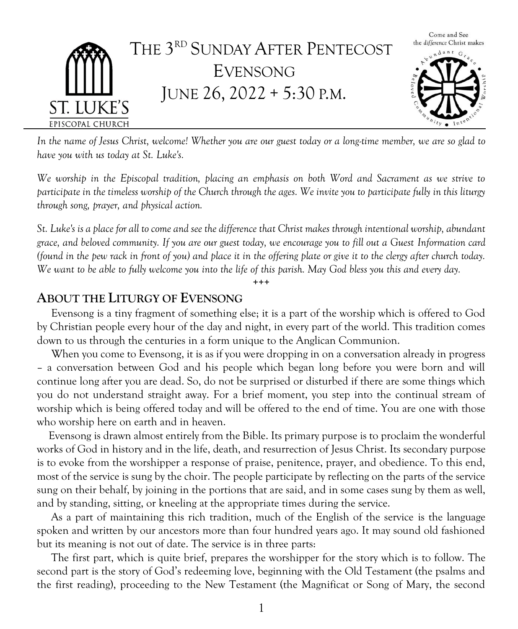

*In the name of Jesus Christ, welcome! Whether you are our guest today or a long-time member, we are so glad to have you with us today at St. Luke's.*

*We worship in the Episcopal tradition, placing an emphasis on both Word and Sacrament as we strive to participate in the timeless worship of the Church through the ages. We invite you to participate fully in this liturgy through song, prayer, and physical action.*

*St. Luke's is a place for all to come and see the difference that Christ makes through intentional worship, abundant grace, and beloved community. If you are our guest today, we encourage you to fill out a Guest Information card (found in the pew rack in front of you) and place it in the offering plate or give it to the clergy after church today. We want to be able to fully welcome you into the life of this parish. May God bless you this and every day.*

**+++**

#### **ABOUT THE LITURGY OF EVENSONG**

 Evensong is a tiny fragment of something else; it is a part of the worship which is offered to God by Christian people every hour of the day and night, in every part of the world. This tradition comes down to us through the centuries in a form unique to the Anglican Communion.

When you come to Evensong, it is as if you were dropping in on a conversation already in progress – a conversation between God and his people which began long before you were born and will continue long after you are dead. So, do not be surprised or disturbed if there are some things which you do not understand straight away. For a brief moment, you step into the continual stream of worship which is being offered today and will be offered to the end of time. You are one with those who worship here on earth and in heaven.

Evensong is drawn almost entirely from the Bible. Its primary purpose is to proclaim the wonderful works of God in history and in the life, death, and resurrection of Jesus Christ. Its secondary purpose is to evoke from the worshipper a response of praise, penitence, prayer, and obedience. To this end, most of the service is sung by the choir. The people participate by reflecting on the parts of the service sung on their behalf, by joining in the portions that are said, and in some cases sung by them as well, and by standing, sitting, or kneeling at the appropriate times during the service.

 As a part of maintaining this rich tradition, much of the English of the service is the language spoken and written by our ancestors more than four hundred years ago. It may sound old fashioned but its meaning is not out of date. The service is in three parts:

 The first part, which is quite brief, prepares the worshipper for the story which is to follow. The second part is the story of God's redeeming love, beginning with the Old Testament (the psalms and the first reading), proceeding to the New Testament (the Magnificat or Song of Mary, the second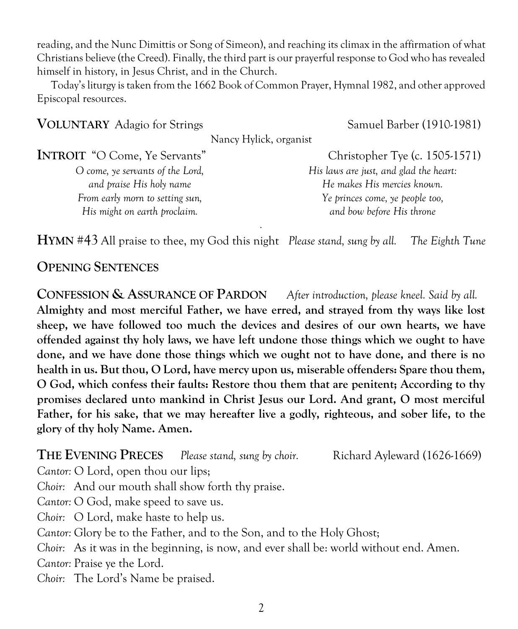reading, and the Nunc Dimittis or Song of Simeon), and reaching its climax in the affirmation of what Christians believe (the Creed). Finally, the third part is our prayerful response to God who has revealed himself in history, in Jesus Christ, and in the Church.

Today's liturgy is taken from the 1662 Book of Common Prayer, Hymnal 1982, and other approved Episcopal resources.

| <b>VOLUNTARY</b> Adagio for Strings  | Samuel Barber (1910-1981)              |
|--------------------------------------|----------------------------------------|
| Nancy Hylick, organist               |                                        |
| <b>INTROIT</b> "O Come, Ye Servants" | Christopher Tye (c. 1505-1571)         |
| O come, ye servants of the Lord,     | His laws are just, and glad the heart: |
| and praise His holy name             | He makes His mercies known.            |
| From early morn to setting sun,      | Ye princes come, ye people too,        |
| His might on earth proclaim.         | and bow before His throne              |
|                                      | $\hat{\phantom{a}}$                    |

**HYMN** #43 All praise to thee, my God this night *Please stand, sung by all. The Eighth Tune*

### **OPENING SENTENCES**

**CONFESSION & ASSURANCE OF PARDON** *After introduction, please kneel. Said by all.* **Almighty and most merciful Father, we have erred, and strayed from thy ways like lost sheep, we have followed too much the devices and desires of our own hearts, we have offended against thy holy laws, we have left undone those things which we ought to have done, and we have done those things which we ought not to have done, and there is no health in us. But thou, O Lord, have mercy upon us, miserable offenders: Spare thou them, O God, which confess their faults: Restore thou them that are penitent; According to thy promises declared unto mankind in Christ Jesus our Lord. And grant, O most merciful Father, for his sake, that we may hereafter live a godly, righteous, and sober life, to the glory of thy holy Name. Amen.**

**THE EVENING PRECES** Please stand, sung by choir. Richard Ayleward (1626-1669)

*Cantor:* O Lord, open thou our lips;

*Choir:* And our mouth shall show forth thy praise.

*Cantor:* O God, make speed to save us.

*Choir:* O Lord, make haste to help us.

*Cantor:* Glory be to the Father, and to the Son, and to the Holy Ghost;

*Choir:* As it was in the beginning, is now, and ever shall be: world without end. Amen.

*Cantor:* Praise ye the Lord.

*Choir:* The Lord's Name be praised.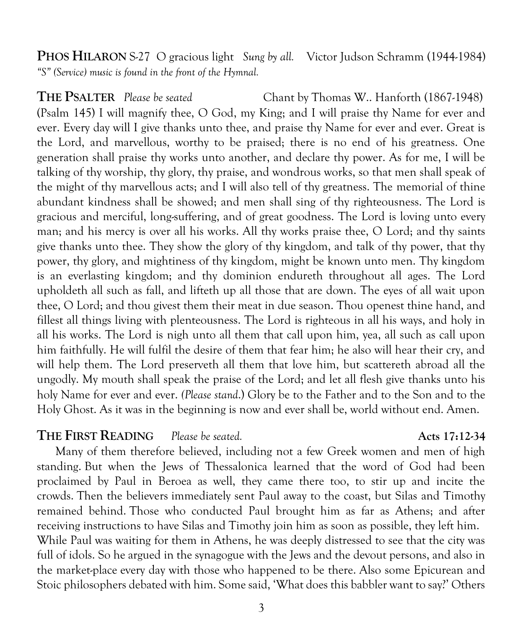**PHOS HILARON** S-27 O gracious light *Sung by all.* Victor Judson Schramm (1944-1984) *"S" (Service) music is found in the front of the Hymnal.*

**THE PSALTER** *Please be seated* Chant by Thomas W.. Hanforth (1867-1948) (Psalm 145) I will magnify thee, O God, my King; and I will praise thy Name for ever and ever. Every day will I give thanks unto thee, and praise thy Name for ever and ever. Great is the Lord, and marvellous, worthy to be praised; there is no end of his greatness. One generation shall praise thy works unto another, and declare thy power. As for me, I will be talking of thy worship, thy glory, thy praise, and wondrous works, so that men shall speak of the might of thy marvellous acts; and I will also tell of thy greatness. The memorial of thine abundant kindness shall be showed; and men shall sing of thy righteousness. The Lord is gracious and merciful, long-suffering, and of great goodness. The Lord is loving unto every man; and his mercy is over all his works. All thy works praise thee, O Lord; and thy saints give thanks unto thee. They show the glory of thy kingdom, and talk of thy power, that thy power, thy glory, and mightiness of thy kingdom, might be known unto men. Thy kingdom is an everlasting kingdom; and thy dominion endureth throughout all ages. The Lord upholdeth all such as fall, and lifteth up all those that are down. The eyes of all wait upon thee, O Lord; and thou givest them their meat in due season. Thou openest thine hand, and fillest all things living with plenteousness. The Lord is righteous in all his ways, and holy in all his works. The Lord is nigh unto all them that call upon him, yea, all such as call upon him faithfully. He will fulfil the desire of them that fear him; he also will hear their cry, and will help them. The Lord preserveth all them that love him, but scattereth abroad all the ungodly. My mouth shall speak the praise of the Lord; and let all flesh give thanks unto his holy Name for ever and ever. *(Please stand*.) Glory be to the Father and to the Son and to the Holy Ghost. As it was in the beginning is now and ever shall be, world without end. Amen.

#### **THE FIRST READING** *Please be seated.* **Acts 17:12-34**

 Many of them therefore believed, including not a few Greek women and men of high standing. But when the Jews of Thessalonica learned that the word of God had been proclaimed by Paul in Beroea as well, they came there too, to stir up and incite the crowds. Then the believers immediately sent Paul away to the coast, but Silas and Timothy remained behind. Those who conducted Paul brought him as far as Athens; and after receiving instructions to have Silas and Timothy join him as soon as possible, they left him. While Paul was waiting for them in Athens, he was deeply distressed to see that the city was full of idols. So he argued in the synagogue with the Jews and the devout persons, and also in the market-place every day with those who happened to be there. Also some Epicurean and Stoic philosophers debated with him. Some said, 'What does this babbler want to say?' Others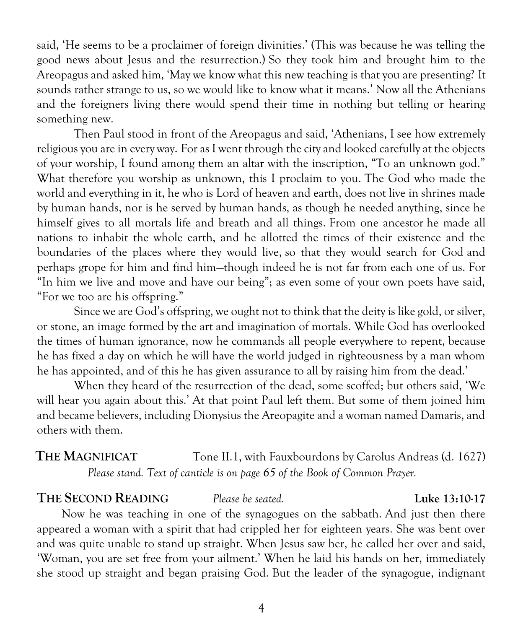said, 'He seems to be a proclaimer of foreign divinities.' (This was because he was telling the good news about Jesus and the resurrection.) So they took him and brought him to the Areopagus and asked him, 'May we know what this new teaching is that you are presenting? It sounds rather strange to us, so we would like to know what it means.' Now all the Athenians and the foreigners living there would spend their time in nothing but telling or hearing something new.

Then Paul stood in front of the Areopagus and said, 'Athenians, I see how extremely religious you are in every way. For as I went through the city and looked carefully at the objects of your worship, I found among them an altar with the inscription, "To an unknown god." What therefore you worship as unknown, this I proclaim to you. The God who made the world and everything in it, he who is Lord of heaven and earth, does not live in shrines made by human hands, nor is he served by human hands, as though he needed anything, since he himself gives to all mortals life and breath and all things. From one ancestor he made all nations to inhabit the whole earth, and he allotted the times of their existence and the boundaries of the places where they would live, so that they would search for God and perhaps grope for him and find him—though indeed he is not far from each one of us. For "In him we live and move and have our being"; as even some of your own poets have said, "For we too are his offspring."

Since we are God's offspring, we ought not to think that the deity is like gold, or silver, or stone, an image formed by the art and imagination of mortals. While God has overlooked the times of human ignorance, now he commands all people everywhere to repent, because he has fixed a day on which he will have the world judged in righteousness by a man whom he has appointed, and of this he has given assurance to all by raising him from the dead.'

When they heard of the resurrection of the dead, some scoffed; but others said, 'We will hear you again about this.' At that point Paul left them. But some of them joined him and became believers, including Dionysius the Areopagite and a woman named Damaris, and others with them.

# **THE MAGNIFICAT** Tone II.1, with Fauxbourdons by Carolus Andreas (d. 1627) *Please stand. Text of canticle is on page 65 of the Book of Common Prayer.*

#### **THE SECOND READING** *Please be seated.* **Luke 13:10-17**

 Now he was teaching in one of the synagogues on the sabbath. And just then there appeared a woman with a spirit that had crippled her for eighteen years. She was bent over and was quite unable to stand up straight. When Jesus saw her, he called her over and said, 'Woman, you are set free from your ailment.' When he laid his hands on her, immediately she stood up straight and began praising God. But the leader of the synagogue, indignant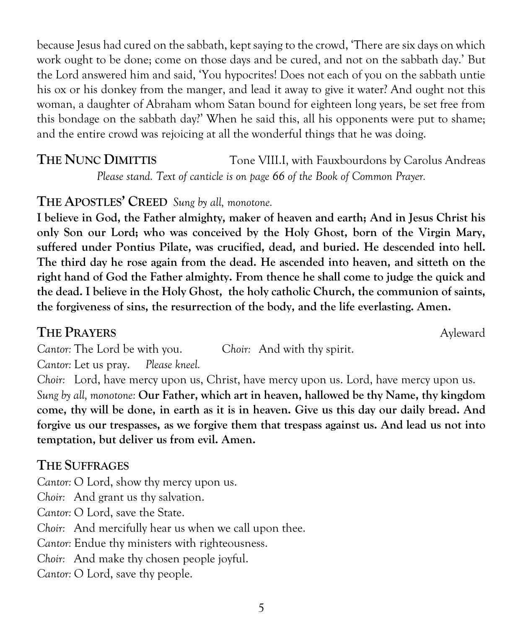woman, a daughter of Abraham whom Satan bound for eighteen long years, be set free from this bondage on the sabbath day?' When he said this, all his opponents were put to shame; and the entire crowd was rejoicing at all the wonderful things that he was doing. **THE NUNC DIMITTIS** Tone VIII.I, with Fauxbourdons by Carolus Andreas *Please stand. Text of canticle is on page 66 of the Book of Common Prayer.*

because Jesus had cured on the sabbath, kept saying to the crowd, 'There are six days on which work ought to be done; come on those days and be cured, and not on the sabbath day.' But the Lord answered him and said, 'You hypocrites! Does not each of you on the sabbath untie his ox or his donkey from the manger, and lead it away to give it water? And ought not this

### **THE APOSTLES' CREED** *Sung by all, monotone.*

**I believe in God, the Father almighty, maker of heaven and earth; And in Jesus Christ his only Son our Lord; who was conceived by the Holy Ghost, born of the Virgin Mary, suffered under Pontius Pilate, was crucified, dead, and buried. He descended into hell. The third day he rose again from the dead. He ascended into heaven, and sitteth on the right hand of God the Father almighty. From thence he shall come to judge the quick and the dead. I believe in the Holy Ghost, the holy catholic Church, the communion of saints, the forgiveness of sins, the resurrection of the body, and the life everlasting. Amen.**

#### **THE PRAYERS** Ayleward

*Cantor:* The Lord be with you. C*hoir:* And with thy spirit.

*Cantor:* Let us pray. *Please kneel.*

*Choir:* Lord, have mercy upon us, Christ, have mercy upon us. Lord, have mercy upon us. *Sung by all, monotone:* **Our Father, which art in heaven, hallowed be thy Name, thy kingdom come, thy will be done, in earth as it is in heaven. Give us this day our daily bread. And forgive us our trespasses, as we forgive them that trespass against us. And lead us not into temptation, but deliver us from evil. Amen.**

# **THE SUFFRAGES**

*Cantor:* O Lord, show thy mercy upon us.

*Choir:* And grant us thy salvation.

*Cantor:* O Lord, save the State.

*Choir:* And mercifully hear us when we call upon thee.

*Cantor:* Endue thy ministers with righteousness.

*Choir:* And make thy chosen people joyful.

*Cantor:* O Lord, save thy people.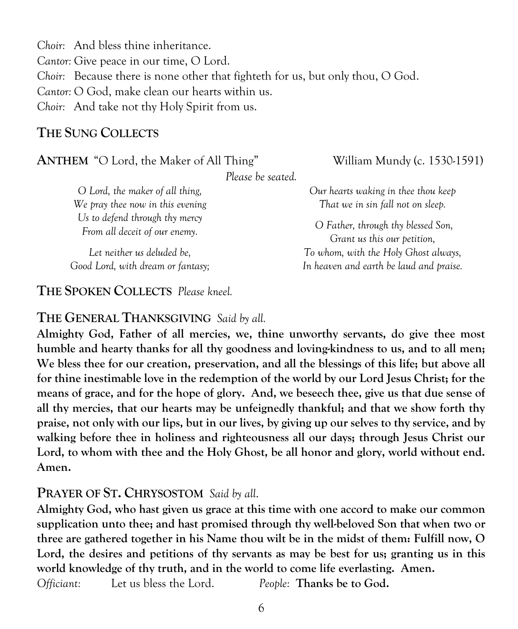*Choir:* And bless thine inheritance. *Cantor:* Give peace in our time, O Lord. *Choir:* Because there is none other that fighteth for us, but only thou, O God. *Cantor:* O God, make clean our hearts within us. *Choir:* And take not thy Holy Spirit from us.

### **THE SUNG COLLECTS**

#### **ANTHEM** "O Lord, the Maker of All Thing" William Mundy (c. 1530-1591)

*Our hearts waking in thee thou keep That we in sin fall not on sleep. O Father, through thy blessed Son, Grant us this our petition, To whom, with the Holy Ghost always, In heaven and earth be laud and praise.*

*Please be seated.*

*O Lord, the maker of all thing, We pray thee now in this evening Us to defend through thy mercy From all deceit of our enemy.*

*Let neither us deluded be, Good Lord, with dream or fantasy;*

**THE SPOKEN COLLECTS** *Please kneel.*

#### **THE GENERAL THANKSGIVING** *Said by all.*

**Almighty God, Father of all mercies, we, thine unworthy servants, do give thee most humble and hearty thanks for all thy goodness and loving-kindness to us, and to all men; We bless thee for our creation, preservation, and all the blessings of this life; but above all for thine inestimable love in the redemption of the world by our Lord Jesus Christ; for the means of grace, and for the hope of glory. And, we beseech thee, give us that due sense of all thy mercies, that our hearts may be unfeignedly thankful; and that we show forth thy praise, not only with our lips, but in our lives, by giving up our selves to thy service, and by walking before thee in holiness and righteousness all our days; through Jesus Christ our Lord, to whom with thee and the Holy Ghost, be all honor and glory, world without end. Amen.**

#### **PRAYER OF ST. CHRYSOSTOM** *Said by all*.

**Almighty God, who hast given us grace at this time with one accord to make our common supplication unto thee; and hast promised through thy well-beloved Son that when two or three are gathered together in his Name thou wilt be in the midst of them: Fulfill now, O**  Lord, the desires and petitions of thy servants as may be best for us; granting us in this **world knowledge of thy truth, and in the world to come life everlasting. Amen.**

*Officiant:* Let us bless the Lord. *People:* **Thanks be to God.** 

6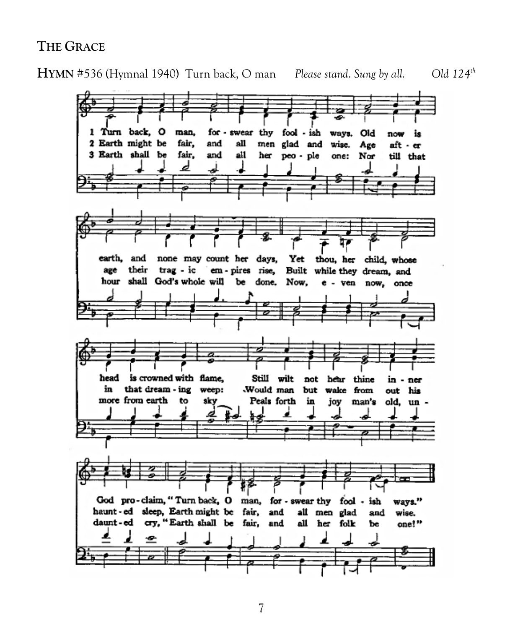#### **THE GRACE**

**HYMN** #536 (Hymnal 1940) Turn back, O man *Please stand*. *Sung by all. Old 124th*

1 Turn back, O man. for swear thy fool - ish Old wava. is now 2 Earth might be fair, and аll men glad and wise. Age aft - er 3 Earth shall be fair, and all her peo - ple one: Nor till that d ᇰ earth, and none may count her days, Yet thou, her child, whose their trag - ic em-pires rise, Built while they dream, and age shall God's whole will hour Ъe done. Now, e - ven now, once is crowned with flame. head Still wilt hear thine not in ner that dream - ing in weep: Would man but wake from out his more from earth Peals forth to sky in joy man's old, un -God pro-claim, "Turn back, O man, for - swear thy fool - ish ways." haunt - ed sleep, Earth might be fair, and all men glad and wise. daunt-ed cry, "Earth shall be fair, and all her folk Ъe one!"